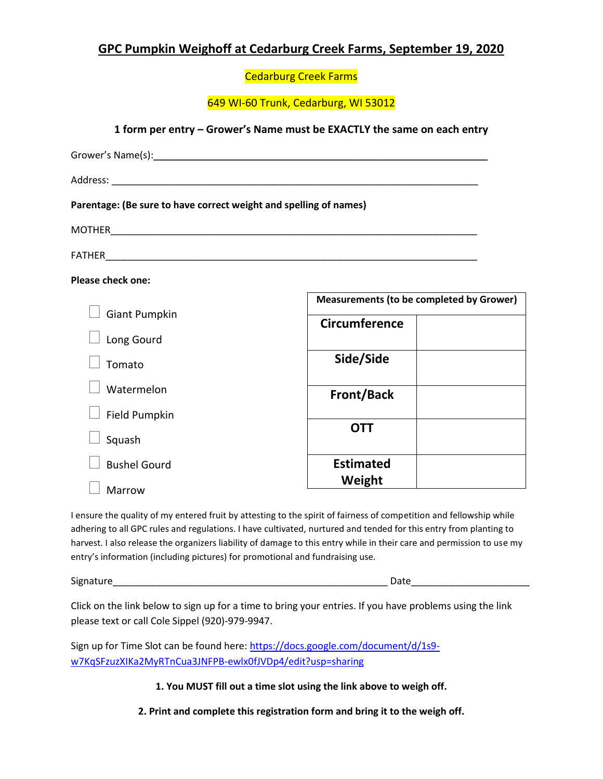## **GPC Pumpkin Weighoff at Cedarburg Creek Farms, September 19, 2020**

Cedarburg Creek Farms

649 WI-60 Trunk, Cedarburg, WI 53012

**1 form per entry – Grower's Name must be EXACTLY the same on each entry**

| Parentage: (Be sure to have correct weight and spelling of names) |                      |                                                 |  |
|-------------------------------------------------------------------|----------------------|-------------------------------------------------|--|
|                                                                   |                      |                                                 |  |
|                                                                   |                      |                                                 |  |
| <b>Please check one:</b>                                          |                      |                                                 |  |
|                                                                   |                      | <b>Measurements (to be completed by Grower)</b> |  |
| <b>Giant Pumpkin</b>                                              | <b>Circumference</b> |                                                 |  |
| Long Gourd                                                        |                      |                                                 |  |
| Tomato                                                            | Side/Side            |                                                 |  |
| Watermelon                                                        | <b>Front/Back</b>    |                                                 |  |
| Field Pumpkin                                                     |                      |                                                 |  |
| Squash                                                            | <b>OTT</b>           |                                                 |  |
| <b>Bushel Gourd</b>                                               | <b>Estimated</b>     |                                                 |  |
| <b>Marrow</b>                                                     | Weight               |                                                 |  |

I ensure the quality of my entered fruit by attesting to the spirit of fairness of competition and fellowship while adhering to all GPC rules and regulations. I have cultivated, nurtured and tended for this entry from planting to harvest. I also release the organizers liability of damage to this entry while in their care and permission to use my entry's information (including pictures) for promotional and fundraising use.

| $\sim$<br>אור<br>- - - |  |
|------------------------|--|
|                        |  |

Click on the link below to sign up for a time to bring your entries. If you have problems using the link please text or call Cole Sippel (920)-979-9947.

Sign up for Time Slot can be found here[: https://docs.google.com/document/d/1s9](https://docs.google.com/document/d/1s9-w7KqSFzuzXIKa2MyRTnCua3JNFPB-ewlx0fJVDp4/edit?usp=sharing) [w7KqSFzuzXIKa2MyRTnCua3JNFPB-ewlx0fJVDp4/edit?usp=sharing](https://docs.google.com/document/d/1s9-w7KqSFzuzXIKa2MyRTnCua3JNFPB-ewlx0fJVDp4/edit?usp=sharing)

**1. You MUST fill out a time slot using the link above to weigh off.**

**2. Print and complete this registration form and bring it to the weigh off.**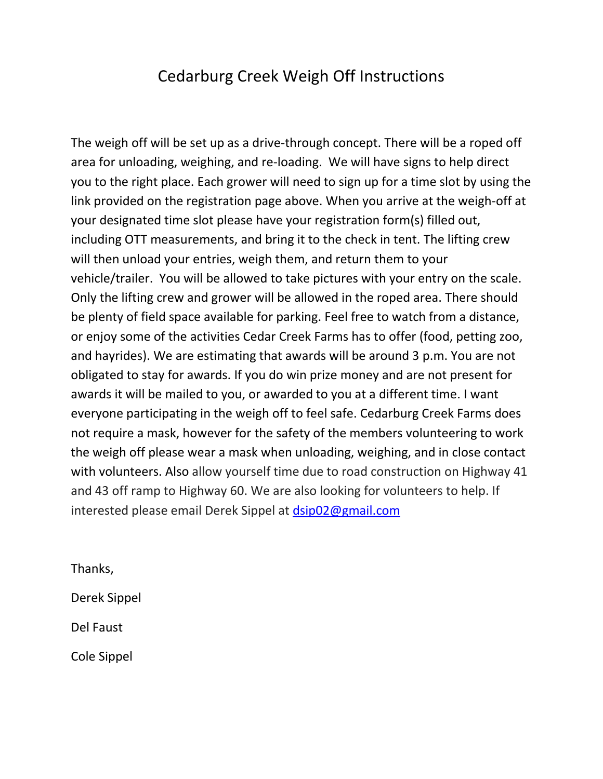## Cedarburg Creek Weigh Off Instructions

The weigh off will be set up as a drive-through concept. There will be a roped off area for unloading, weighing, and re-loading. We will have signs to help direct you to the right place. Each grower will need to sign up for a time slot by using the link provided on the registration page above. When you arrive at the weigh-off at your designated time slot please have your registration form(s) filled out, including OTT measurements, and bring it to the check in tent. The lifting crew will then unload your entries, weigh them, and return them to your vehicle/trailer. You will be allowed to take pictures with your entry on the scale. Only the lifting crew and grower will be allowed in the roped area. There should be plenty of field space available for parking. Feel free to watch from a distance, or enjoy some of the activities Cedar Creek Farms has to offer (food, petting zoo, and hayrides). We are estimating that awards will be around 3 p.m. You are not obligated to stay for awards. If you do win prize money and are not present for awards it will be mailed to you, or awarded to you at a different time. I want everyone participating in the weigh off to feel safe. Cedarburg Creek Farms does not require a mask, however for the safety of the members volunteering to work the weigh off please wear a mask when unloading, weighing, and in close contact with volunteers. Also allow yourself time due to road construction on Highway 41 and 43 off ramp to Highway 60. We are also looking for volunteers to help. If interested please email Derek Sippel at [dsip02@gmail.com](mailto:dsip02@gmail.com)

Thanks, Derek Sippel Del Faust Cole Sippel